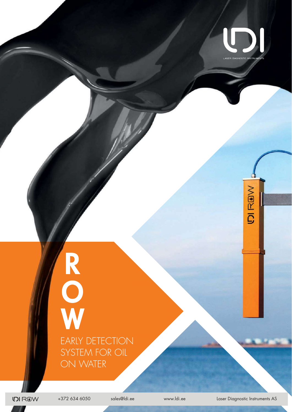

**VIBAICI** 

## **R O** EARLY DETECTION SYSTEM FOR OIL ON WATER

**DIROW** 

+372 634 6050 sales@ldi.ee www.ldi.ee Laser Diagnostic Instruments AS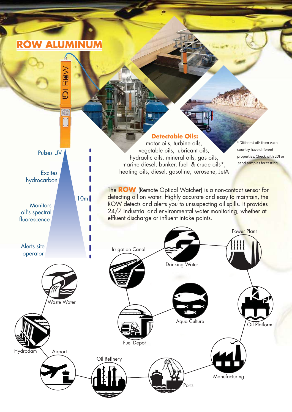## **ROW ALUMINUM**

Pulses UV

10m

**Excites** hydrocarbon

**Monitors** oil's spectral fluorescence



motor oils, turbine oils, vegetable oils, lubricant oils, hydraulic oils, mineral oils, gas oils, marine diesel, bunker, fuel & crude oils\*, heating oils, diesel, gasoline, kerosene, JetA

Different oils from each country have different properties. Check with LDI or send samples for testing.

The **ROW** (Remote Optical Watcher) is a non-contact sensor for detecting oil on water. Highly accurate and easy to maintain, the ROW detects and alerts you to unsuspecting oil spills. It provides 24/7 industrial and environmental water monitoring, whether at effluent discharge or influent intake points.

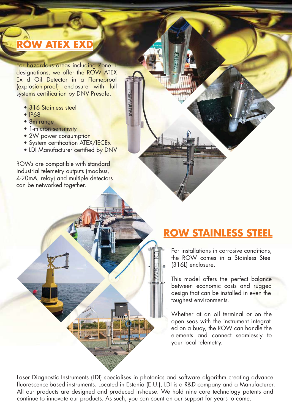## **ROW ATEX EXD**

For hazardous areas including Zone T designations, we offer the ROW ATEX Ex d Oil Detector in a Flameproof (explosion-proof) enclosure with full systems certification by DNV Presafe.

- 316 Stainless steel
- IP68
- 8m range
- 1-micron sensitivity
- 2W power consumption
- System certification ATEX/IECEx • System certification ATEX/IECEx<br>• LDI Manufacturer certified by DNV
	-

ROWs are compatible with standard industrial telemetry outputs (modbus, 4-20mA, relay) and multiple detectors can be networked together.

## **ROW STAINLESS STEEL**

For installations in corrosive conditions, the ROW comes in a Stainless Steel (316L) enclosure.

This model offers the perfect balance between economic costs and rugged design that can be installed in even the toughest environments.

Whether at an oil terminal or on the open seas with the instrument integrated on a buoy, the ROW can handle the elements and connect seamlessly to your local telemetry.

Laser Diagnostic Instruments (LDI) specialises in photonics and software algorithm creating advance fluorescence-based instruments. Located in Estonia (E.U.), LDI is a R&D company and a Manufacturer. All our products are designed and produced in-house. We hold nine core technology patents and continue to innovate our products. As such, you can count on our support for years to come.